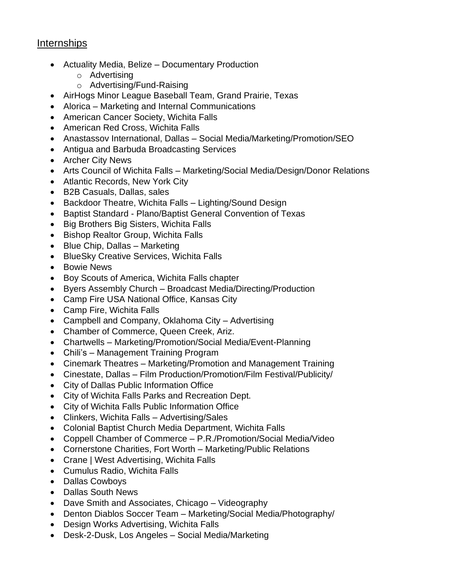## **Internships**

- Actuality Media, Belize Documentary Production
	- o Advertising
	- o Advertising/Fund-Raising
- AirHogs Minor League Baseball Team, Grand Prairie, Texas
- Alorica Marketing and Internal Communications
- American Cancer Society, Wichita Falls
- American Red Cross, Wichita Falls
- Anastassov International, Dallas Social Media/Marketing/Promotion/SEO
- Antigua and Barbuda Broadcasting Services
- Archer City News
- Arts Council of Wichita Falls Marketing/Social Media/Design/Donor Relations
- Atlantic Records, New York City
- B2B Casuals, Dallas, sales
- Backdoor Theatre, Wichita Falls Lighting/Sound Design
- Baptist Standard Plano/Baptist General Convention of Texas
- Big Brothers Big Sisters, Wichita Falls
- Bishop Realtor Group, Wichita Falls
- Blue Chip, Dallas Marketing
- BlueSky Creative Services, Wichita Falls
- Bowie News
- Boy Scouts of America, Wichita Falls chapter
- Byers Assembly Church Broadcast Media/Directing/Production
- Camp Fire USA National Office, Kansas City
- Camp Fire, Wichita Falls
- Campbell and Company, Oklahoma City Advertising
- Chamber of Commerce, Queen Creek, Ariz.
- Chartwells Marketing/Promotion/Social Media/Event-Planning
- Chili's Management Training Program
- Cinemark Theatres Marketing/Promotion and Management Training
- Cinestate, Dallas Film Production/Promotion/Film Festival/Publicity/
- City of Dallas Public Information Office
- City of Wichita Falls Parks and Recreation Dept.
- City of Wichita Falls Public Information Office
- Clinkers, Wichita Falls Advertising/Sales
- Colonial Baptist Church Media Department, Wichita Falls
- Coppell Chamber of Commerce P.R./Promotion/Social Media/Video
- Cornerstone Charities, Fort Worth Marketing/Public Relations
- Crane | West Advertising, Wichita Falls
- Cumulus Radio, Wichita Falls
- Dallas Cowboys
- Dallas South News
- Dave Smith and Associates, Chicago Videography
- Denton Diablos Soccer Team Marketing/Social Media/Photography/
- Design Works Advertising, Wichita Falls
- Desk-2-Dusk, Los Angeles Social Media/Marketing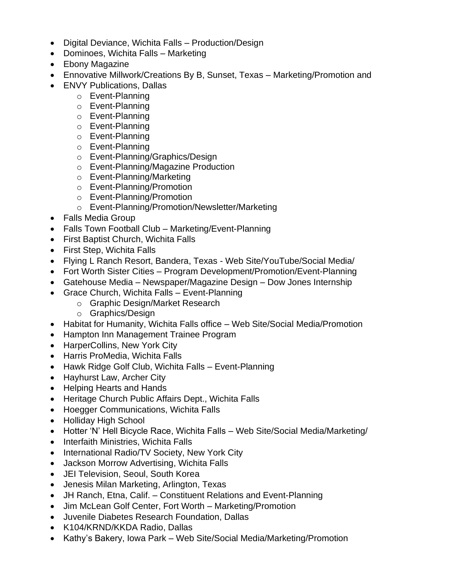- Digital Deviance, Wichita Falls Production/Design
- Dominoes, Wichita Falls Marketing
- Ebony Magazine
- Ennovative Millwork/Creations By B, Sunset, Texas Marketing/Promotion and
- ENVY Publications, Dallas
	- o Event-Planning
	- o Event-Planning
	- o Event-Planning
	- o Event-Planning
	- o Event-Planning
	- o Event-Planning
	- o Event-Planning/Graphics/Design
	- o Event-Planning/Magazine Production
	- o Event-Planning/Marketing
	- o Event-Planning/Promotion
	- o Event-Planning/Promotion
	- o Event-Planning/Promotion/Newsletter/Marketing
- Falls Media Group
- Falls Town Football Club Marketing/Event-Planning
- First Baptist Church, Wichita Falls
- First Step, Wichita Falls
- Flying L Ranch Resort, Bandera, Texas Web Site/YouTube/Social Media/
- Fort Worth Sister Cities Program Development/Promotion/Event-Planning
- Gatehouse Media Newspaper/Magazine Design Dow Jones Internship
- Grace Church, Wichita Falls Event-Planning
	- o Graphic Design/Market Research
	- o Graphics/Design
- Habitat for Humanity, Wichita Falls office Web Site/Social Media/Promotion
- Hampton Inn Management Trainee Program
- HarperCollins, New York City
- Harris ProMedia, Wichita Falls
- Hawk Ridge Golf Club, Wichita Falls Event-Planning
- Hayhurst Law, Archer City
- Helping Hearts and Hands
- Heritage Church Public Affairs Dept., Wichita Falls
- Hoegger Communications, Wichita Falls
- Holliday High School
- Hotter 'N' Hell Bicycle Race, Wichita Falls Web Site/Social Media/Marketing/
- Interfaith Ministries, Wichita Falls
- International Radio/TV Society, New York City
- Jackson Morrow Advertising, Wichita Falls
- JEI Television, Seoul, South Korea
- Jenesis Milan Marketing, Arlington, Texas
- JH Ranch, Etna, Calif. Constituent Relations and Event-Planning
- Jim McLean Golf Center, Fort Worth Marketing/Promotion
- Juvenile Diabetes Research Foundation, Dallas
- K104/KRND/KKDA Radio, Dallas
- Kathy's Bakery, Iowa Park Web Site/Social Media/Marketing/Promotion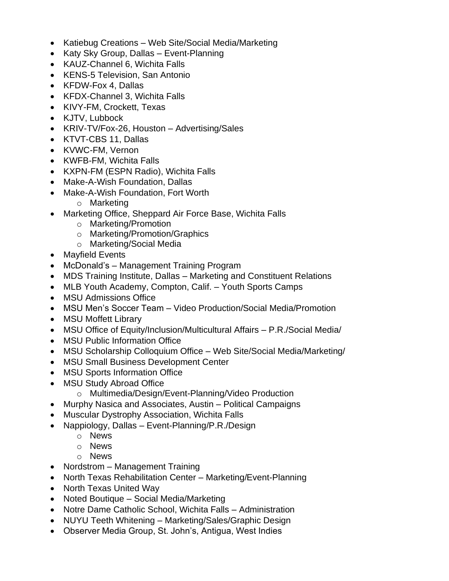- Katiebug Creations Web Site/Social Media/Marketing
- Katy Sky Group, Dallas Event-Planning
- KAUZ-Channel 6, Wichita Falls
- KENS-5 Television, San Antonio
- KFDW-Fox 4, Dallas
- KFDX-Channel 3, Wichita Falls
- KIVY-FM, Crockett, Texas
- KJTV, Lubbock
- KRIV-TV/Fox-26, Houston Advertising/Sales
- KTVT-CBS 11, Dallas
- KVWC-FM, Vernon
- KWFB-FM, Wichita Falls
- KXPN-FM (ESPN Radio), Wichita Falls
- Make-A-Wish Foundation, Dallas
- Make-A-Wish Foundation, Fort Worth
	- o Marketing
- Marketing Office, Sheppard Air Force Base, Wichita Falls
	- o Marketing/Promotion
	- o Marketing/Promotion/Graphics
	- o Marketing/Social Media
- Mayfield Events
- McDonald's Management Training Program
- MDS Training Institute, Dallas Marketing and Constituent Relations
- MLB Youth Academy, Compton, Calif. Youth Sports Camps
- MSU Admissions Office
- MSU Men's Soccer Team Video Production/Social Media/Promotion
- MSU Moffett Library
- MSU Office of Equity/Inclusion/Multicultural Affairs P.R./Social Media/
- MSU Public Information Office
- MSU Scholarship Colloquium Office Web Site/Social Media/Marketing/
- MSU Small Business Development Center
- MSU Sports Information Office
- MSU Study Abroad Office
	- o Multimedia/Design/Event-Planning/Video Production
- Murphy Nasica and Associates, Austin Political Campaigns
- Muscular Dystrophy Association, Wichita Falls
- Nappiology, Dallas Event-Planning/P.R./Design
	- o News
	- o News
	- o News
- Nordstrom Management Training
- North Texas Rehabilitation Center Marketing/Event-Planning
- North Texas United Way
- Noted Boutique Social Media/Marketing
- Notre Dame Catholic School, Wichita Falls Administration
- NUYU Teeth Whitening Marketing/Sales/Graphic Design
- Observer Media Group, St. John's, Antigua, West Indies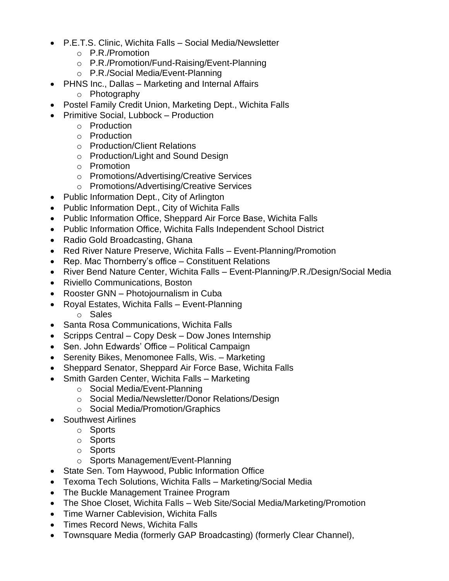- P.E.T.S. Clinic, Wichita Falls Social Media/Newsletter
	- o P.R./Promotion
	- o P.R./Promotion/Fund-Raising/Event-Planning
	- o P.R./Social Media/Event-Planning
- PHNS Inc., Dallas Marketing and Internal Affairs
	- o Photography
- Postel Family Credit Union, Marketing Dept., Wichita Falls
- Primitive Social, Lubbock Production
	- o Production
	- o Production
	- o Production/Client Relations
	- o Production/Light and Sound Design
	- o Promotion
	- o Promotions/Advertising/Creative Services
	- o Promotions/Advertising/Creative Services
- Public Information Dept., City of Arlington
- Public Information Dept., City of Wichita Falls
- Public Information Office, Sheppard Air Force Base, Wichita Falls
- Public Information Office, Wichita Falls Independent School District
- Radio Gold Broadcasting, Ghana
- Red River Nature Preserve, Wichita Falls Event-Planning/Promotion
- Rep. Mac Thornberry's office Constituent Relations
- River Bend Nature Center, Wichita Falls Event-Planning/P.R./Design/Social Media
- Riviello Communications, Boston
- Rooster GNN Photojournalism in Cuba
- Royal Estates, Wichita Falls Event-Planning o Sales
- Santa Rosa Communications, Wichita Falls
- Scripps Central Copy Desk Dow Jones Internship
- Sen. John Edwards' Office Political Campaign
- Serenity Bikes, Menomonee Falls, Wis. Marketing
- Sheppard Senator, Sheppard Air Force Base, Wichita Falls
- Smith Garden Center, Wichita Falls Marketing
	- o Social Media/Event-Planning
	- o Social Media/Newsletter/Donor Relations/Design
	- o Social Media/Promotion/Graphics
- Southwest Airlines
	- o Sports
	- o Sports
	- o Sports
	- o Sports Management/Event-Planning
- State Sen. Tom Haywood, Public Information Office
- Texoma Tech Solutions, Wichita Falls Marketing/Social Media
- The Buckle Management Trainee Program
- The Shoe Closet, Wichita Falls Web Site/Social Media/Marketing/Promotion
- Time Warner Cablevision, Wichita Falls
- Times Record News, Wichita Falls
- Townsquare Media (formerly GAP Broadcasting) (formerly Clear Channel),